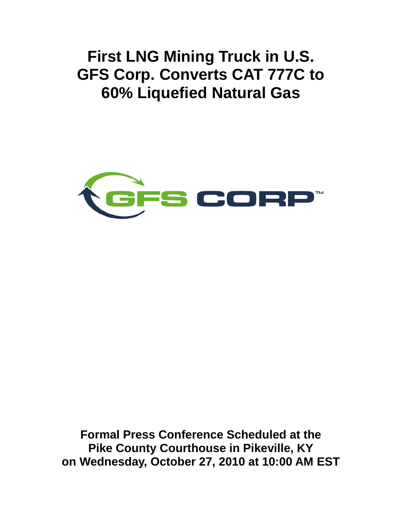**First LNG Mining Truck in U.S. GFS Corp. Converts CAT 777C to 60% Liquefied Natural Gas**



**Formal Press Conference Scheduled at the Pike County Courthouse in Pikeville, KY on Wednesday, October 27, 2010 at 10:00 AM EST**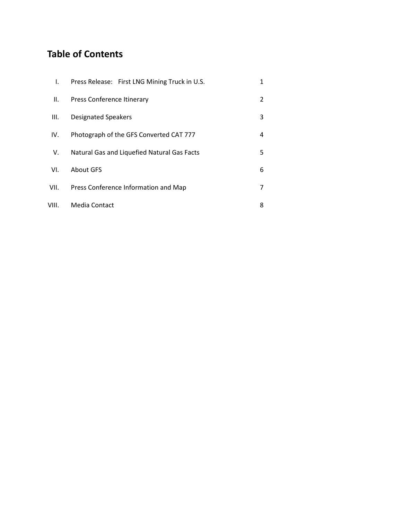# **Table of Contents**

| I.    | Press Release: First LNG Mining Truck in U.S. | 1 |
|-------|-----------------------------------------------|---|
| Ш.    | Press Conference Itinerary                    | 2 |
| III.  | <b>Designated Speakers</b>                    | 3 |
| IV.   | Photograph of the GFS Converted CAT 777       | 4 |
| V.    | Natural Gas and Liquefied Natural Gas Facts   | 5 |
| VI.   | About GFS                                     | 6 |
| VII.  | Press Conference Information and Map          | 7 |
| VIII. | Media Contact                                 | 8 |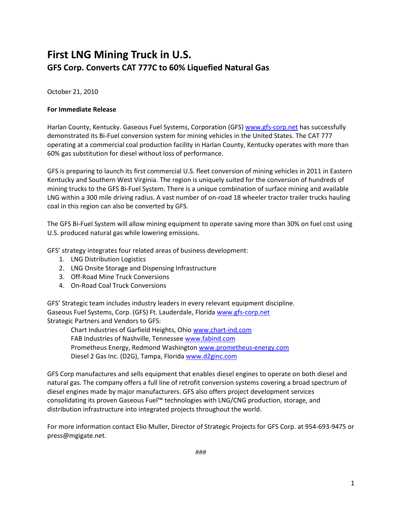# **First LNG Mining Truck in U.S. GFS Corp. Converts CAT 777C to 60% Liquefied Natural Gas**

October 21, 2010

#### **For Immediate Release**

Harlan County, Kentucky. Gaseous Fuel Systems, Corporation (GFS[\) www.gfs-corp.net](http://www.gfs-corp.net/) has successfully demonstrated its Bi-Fuel conversion system for mining vehicles in the United States. The CAT 777 operating at a commercial coal production facility in Harlan County, Kentucky operates with more than 60% gas substitution for diesel without loss of performance.

GFS is preparing to launch its first commercial U.S. fleet conversion of mining vehicles in 2011 in Eastern Kentucky and Southern West Virginia. The region is uniquely suited for the conversion of hundreds of mining trucks to the GFS Bi-Fuel System. There is a unique combination of surface mining and available LNG within a 300 mile driving radius. A vast number of on-road 18 wheeler tractor trailer trucks hauling coal in this region can also be converted by GFS.

The GFS Bi-Fuel System will allow mining equipment to operate saving more than 30% on fuel cost using U.S. produced natural gas while lowering emissions.

GFS' strategy integrates four related areas of business development:

- 1. LNG Distribution Logistics
- 2. LNG Onsite Storage and Dispensing Infrastructure
- 3. Off-Road Mine Truck Conversions
- 4. On-Road Coal Truck Conversions

GFS' Strategic team includes industry leaders in every relevant equipment discipline. Gaseous Fuel Systems, Corp. (GFS) Ft. Lauderdale, Florid[a www.gfs-corp.net](http://www.gfs-corp.net/) Strategic Partners and Vendors to GFS:

Chart Industries of Garfield Heights, Ohio [www.chart-ind.com](http://www.chart-ind.com/) FAB Industries of Nashville, Tennessee [www.fabind.com](http://www.fabind.com/) Prometheus Energy, Redmond Washington [www.prometheus-energy.com](http://www.prometheus-energy.com/) Diesel 2 Gas Inc. (D2G), Tampa, Florida [www.d2ginc.com](http://www.d2ginc.com/)

GFS Corp manufactures and sells equipment that enables diesel engines to operate on both diesel and natural gas. The company offers a full line of retrofit conversion systems covering a broad spectrum of diesel engines made by major manufacturers. GFS also offers project development services consolidating its proven Gaseous Fuel™ technologies with LNG/CNG production, storage, and distribution infrastructure into integrated projects throughout the world.

For more information contact Elio Muller, Director of Strategic Projects for GFS Corp. at 954-693-9475 or press@mgigate.net.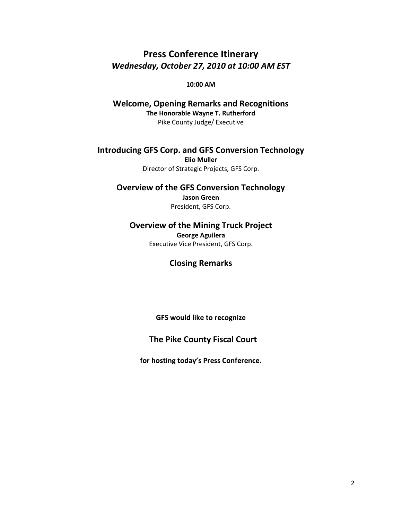### **Press Conference Itinerary** *Wednesday, October 27, 2010 at 10:00 AM EST*

**10:00 AM** 

**Welcome, Opening Remarks and Recognitions The Honorable Wayne T. Rutherford**  Pike County Judge/ Executive

**Introducing GFS Corp. and GFS Conversion Technology Elio Muller** Director of Strategic Projects, GFS Corp.

**Overview of the GFS Conversion Technology Jason Green** President, GFS Corp.

**Overview of the Mining Truck Project George Aguilera** Executive Vice President, GFS Corp.

**Closing Remarks**

**GFS would like to recognize**

**The Pike County Fiscal Court** 

**for hosting today's Press Conference.**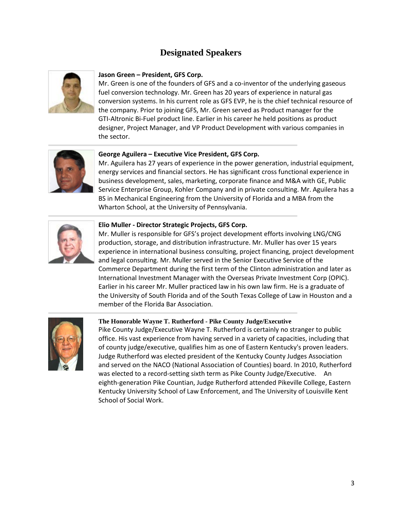### **Designated Speakers**



#### **Jason Green – President, GFS Corp.**

Mr. Green is one of the founders of GFS and a co-inventor of the underlying gaseous fuel conversion technology. Mr. Green has 20 years of experience in natural gas conversion systems. In his current role as GFS EVP, he is the chief technical resource of the company. Prior to joining GFS, Mr. Green served as Product manager for the GTI-Altronic Bi-Fuel product line. Earlier in his career he held positions as product designer, Project Manager, and VP Product Development with various companies in the sector.



#### **George Aguilera – Executive Vice President, GFS Corp.**

Mr. Aguilera has 27 years of experience in the power generation, industrial equipment, energy services and financial sectors. He has significant cross functional experience in business development, sales, marketing, corporate finance and M&A with GE, Public Service Enterprise Group, Kohler Company and in private consulting. Mr. Aguilera has a BS in Mechanical Engineering from the University of Florida and a MBA from the Wharton School, at the University of Pennsylvania.



#### **Elio Muller - Director Strategic Projects, GFS Corp.**

Mr. Muller is responsible for GFS's project development efforts involving LNG/CNG production, storage, and distribution infrastructure. Mr. Muller has over 15 years experience in international business consulting, project financing, project development and legal consulting. Mr. Muller served in the Senior Executive Service of the Commerce Department during the first term of the Clinton administration and later as International Investment Manager with the Overseas Private Investment Corp (OPIC). Earlier in his career Mr. Muller practiced law in his own law firm. He is a graduate of the University of South Florida and of the South Texas College of Law in Houston and a member of the Florida Bar Association.



#### **The Honorable Wayne T. Rutherford - Pike County Judge/Executive**

Pike County Judge/Executive Wayne T. Rutherford is certainly no stranger to public office. His vast experience from having served in a variety of capacities, including that of county judge/executive, qualifies him as one of Eastern Kentucky's proven leaders. Judge Rutherford was elected president of the Kentucky County Judges Association and served on the NACO (National Association of Counties) board. In 2010, Rutherford was elected to a record-setting sixth term as Pike County Judge/Executive. An eighth-generation Pike Countian, Judge Rutherford attended Pikeville College, Eastern Kentucky University School of Law Enforcement, and The University of Louisville Kent School of Social Work.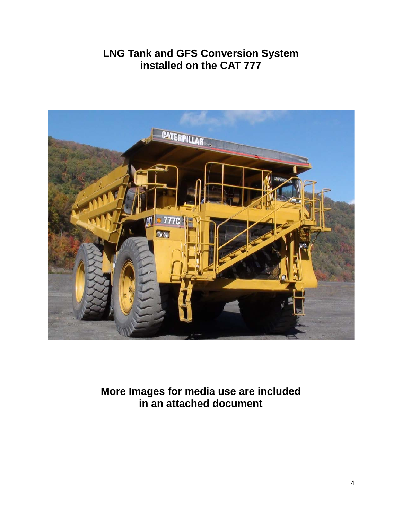# **LNG Tank and GFS Conversion System installed on the CAT 777**



**More Images for media use are included in an attached document**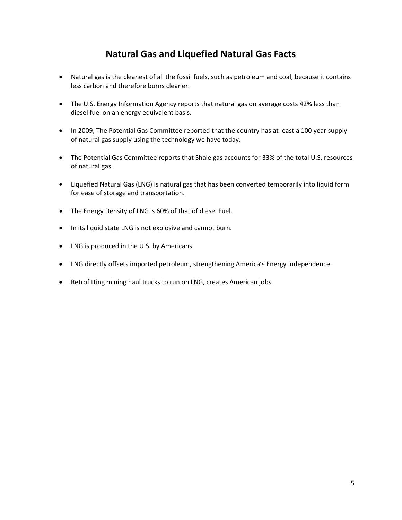### **Natural Gas and Liquefied Natural Gas Facts**

- Natural gas is the cleanest of all the fossil fuels, such as petroleum and coal, because it contains less carbon and therefore burns cleaner.
- The U.S. Energy Information Agency reports that natural gas on average costs 42% less than diesel fuel on an energy equivalent basis.
- In 2009, The Potential Gas Committee reported that the country has at least a 100 year supply of natural gas supply using the technology we have today.
- The Potential Gas Committee reports that Shale gas accounts for 33% of the total U.S. resources of natural gas.
- Liquefied Natural Gas (LNG) is natural gas that has been converted temporarily into liquid form for ease of storage and transportation.
- The Energy Density of LNG is 60% of that of diesel Fuel.
- In its liquid state LNG is not explosive and cannot burn.
- LNG is produced in the U.S. by Americans
- LNG directly offsets imported petroleum, strengthening America's Energy Independence.
- Retrofitting mining haul trucks to run on LNG, creates American jobs.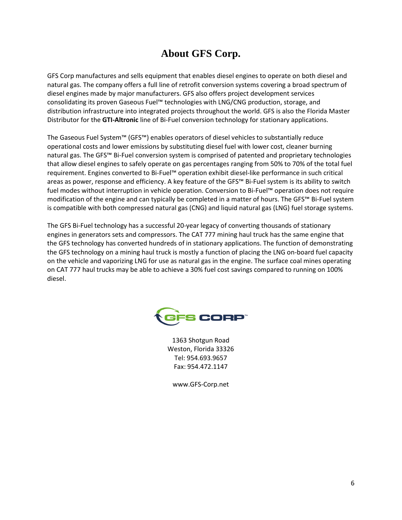# **About GFS Corp.**

GFS Corp manufactures and sells equipment that enables diesel engines to operate on both diesel and natural gas. The company offers a full line of retrofit conversion systems covering a broad spectrum of diesel engines made by major manufacturers. GFS also offers project development services consolidating its proven Gaseous Fuel™ technologies with LNG/CNG production, storage, and distribution infrastructure into integrated projects throughout the world. GFS is also the Florida Master Distributor for the **[GTI-Altronic](http://www.gti-aci.com/)** line of Bi-Fuel conversion technology for stationary applications.

The Gaseous Fuel System™ (GFS™) enables operators of diesel vehicles to substantially reduce operational costs and lower emissions by substituting diesel fuel with lower cost, cleaner burning natural gas. The GFS™ Bi-Fuel conversion system is comprised of patented and proprietary technologies that allow diesel engines to safely operate on gas percentages ranging from 50% to 70% of the total fuel requirement. Engines converted to Bi-Fuel™ operation exhibit diesel-like performance in such critical areas as power, response and efficiency. A key feature of the GFS™ Bi-Fuel system is its ability to switch fuel modes without interruption in vehicle operation. Conversion to Bi-Fuel™ operation does not require modification of the engine and can typically be completed in a matter of hours. The GFS™ Bi-Fuel system is compatible with both compressed natural gas (CNG) and liquid natural gas (LNG) fuel storage systems.

The GFS Bi-Fuel technology has a successful 20-year legacy of converting thousands of stationary engines in generators sets and compressors. The CAT 777 mining haul truck has the same engine that the GFS technology has converted hundreds of in stationary applications. The function of demonstrating the GFS technology on a mining haul truck is mostly a function of placing the LNG on-board fuel capacity on the vehicle and vaporizing LNG for use as natural gas in the engine. The surface coal mines operating on CAT 777 haul trucks may be able to achieve a 30% fuel cost savings compared to running on 100% diesel.



1363 Shotgun Road Weston, Florida 33326 Tel: 954.693.9657 Fax: 954.472.1147

www.GFS-Corp.net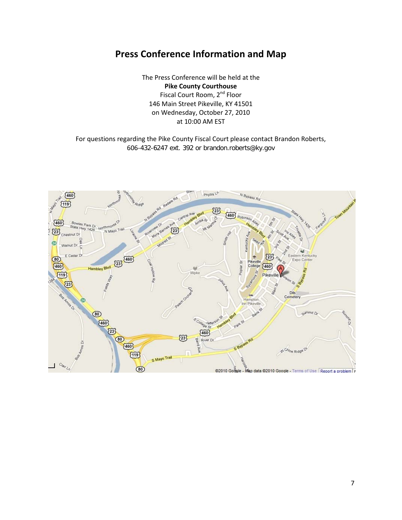# **Press Conference Information and Map**

The Press Conference will be held at the **Pike County Courthouse**  Fiscal Court Room, 2<sup>nd</sup> Floor 146 Main Street Pikeville, KY 41501 on Wednesday, October 27, 2010 at 10:00 AM EST

For questions regarding the Pike County Fiscal Court please contact Brandon Roberts, 606-432-6247 ext. 392 or brandon.roberts@ky.gov